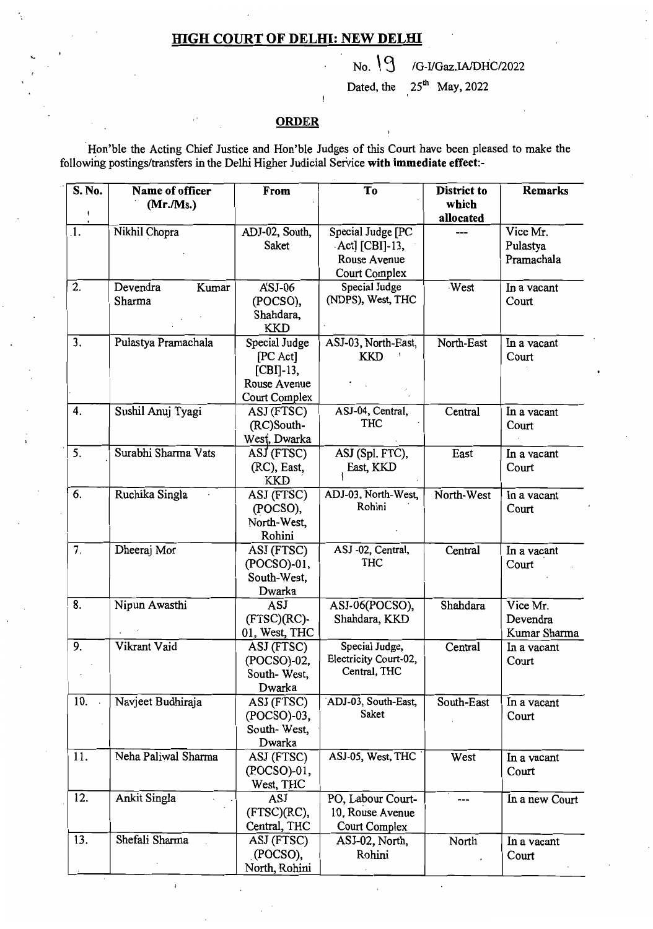## **HIGH COURT OF DELHI: NEW DELHI**

## No. 'CJ *IG-I1Gaz.IAlDHCI2022*

Dated, the  $25<sup>th</sup>$  May, 2022

## **ORDER**

'Hon'ble the Acting Chief Justice and Hon'ble Judges of this Court have been pleased to make the following postings/transfers in the Delhi Higher Judicial Service with immediate effect:-

| S. No.     | Name of officer     | From                          | To                    | <b>District to</b> | <b>Remarks</b> |
|------------|---------------------|-------------------------------|-----------------------|--------------------|----------------|
|            | (Mr.Ms.)            |                               |                       | which<br>allocated |                |
| $\cdot$ 1. | Nikhil Chopra       | ADJ-02, South,                | Special Judge [PC     |                    | Vice Mr.       |
|            |                     | Saket                         | $Act$ ] [CBI]-13,     |                    | Pulastya       |
|            |                     |                               | Rouse Avenue          |                    | Pramachala     |
|            |                     |                               | Court Complex         |                    |                |
| 2.         | Devendra<br>Kumar   | $A'SJ-06$                     | Special Judge         | West               | In a vacant    |
|            | Sharma              | (POCSO),                      | (NDPS), West, THC     |                    | Court          |
|            |                     | Shahdara,                     |                       |                    |                |
|            |                     | <b>KKD</b>                    |                       |                    |                |
| 3.         | Pulastya Pramachala | Special Judge                 | ASJ-03, North-East,   | North-East         | In a vacant    |
|            |                     | [PC Act]                      | <b>KKD</b>            |                    | Court          |
|            |                     | $[CBI]-13,$                   |                       |                    |                |
|            |                     | Rouse Avenue<br>Court Complex |                       |                    |                |
| 4.         | Sushil Anuj Tyagi   | ASJ (FTSC)                    | ASJ-04, Central,      | Central            | In a vacant    |
|            |                     | (RC)South-                    | <b>THC</b>            |                    | Court          |
|            |                     | West, Dwarka                  |                       |                    |                |
| 5.         | Surabhi Sharma Vats | ASJ (FTSC)                    | ASJ (Spl. FTC),       | East               | In a vacant    |
|            |                     | (RC), East,                   | East, KKD             |                    | Court          |
|            |                     | KKD                           |                       |                    |                |
| 6.         | Ruchika Singla      | ASJ (FTSC)                    | ADJ-03, North-West,   | North-West         | In a vacant    |
|            |                     | (POCSO),                      | Rohini                |                    | Court          |
|            |                     | North-West,                   |                       |                    |                |
|            |                     | Rohini                        |                       |                    |                |
| 7.         | Dheeraj Mor         | ASJ (FTSC)                    | ASJ-02, Central,      | Central            | In a vacant    |
|            |                     | (POCSO)-01,                   | <b>THC</b>            |                    | Court          |
|            |                     | South-West,                   |                       |                    |                |
|            |                     | Dwarka                        |                       |                    |                |
| 8.         | Nipun Awasthi       | <b>ASJ</b>                    | ASJ-06(POCSO),        | Shahdara           | Vice Mr.       |
|            |                     | $(FTSC)(RC)$ -                | Shahdara, KKD         |                    | Devendra       |
| 9.         | Vikrant Vaid        | 01, West, THC                 | Special Judge,        |                    | Kumar Sharma   |
|            |                     | ASJ (FTSC)<br>(POCSO)-02,     | Electricity Court-02, | Central            | In a vacant    |
|            |                     | South-West,                   | Central, THC          |                    | Court          |
|            |                     | Dwarka                        |                       |                    |                |
| 10.        | Navjeet Budhiraja   | ASJ (FTSC)                    | ADJ-03, South-East,   | South-East         | In a vacant    |
|            |                     | $(POCSO)-03,$                 | Saket                 |                    | Court          |
|            |                     | South-West,                   |                       |                    |                |
|            |                     | Dwarka                        |                       |                    |                |
| 11.        | Neha Paliwal Sharma | ASJ (FTSC)                    | ASJ-05, West, THC     | West               | In a vacant    |
|            |                     | (POCSO)-01,                   |                       |                    | Court          |
|            |                     | West, THC                     |                       |                    |                |
| 12.        | Ankit Singla        | ASJ                           | PO, Labour Court-     | ---                | In a new Court |
|            |                     | (FTSC)(RC),                   | 10, Rouse Avenue      |                    |                |
|            |                     | Central, THC                  | Court Complex         |                    |                |
| 13.        | Shefali Sharma      | ASJ (FTSC)                    | ASJ-02, North,        | North              | In a vacant    |
|            |                     | (POCSO),                      | Rohini                |                    | Court          |
|            |                     | North, Rohini                 |                       |                    |                |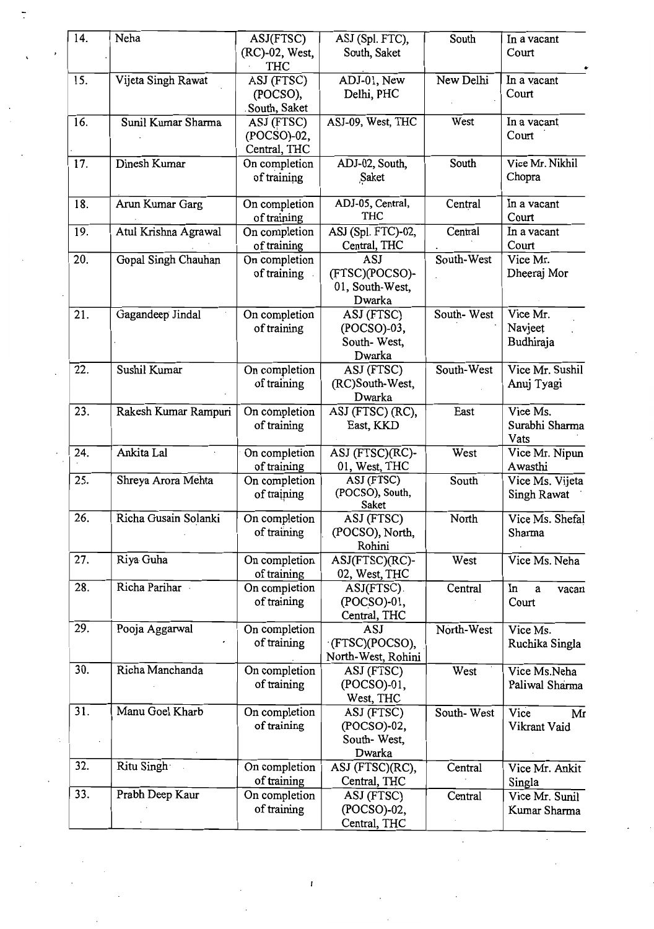| 14. | Neha                 | ASJ(FTSC)                     | ASJ (Spl. FTC),          | South      | In a vacant            |
|-----|----------------------|-------------------------------|--------------------------|------------|------------------------|
|     |                      | (RC)-02, West,<br><b>THC</b>  | South, Saket             |            | Court                  |
| 15. | Vijeta Singh Rawat   | ASJ (FTSC)                    | ADJ-01, New              | New Delhi  | In a vacant            |
|     |                      | (POCSO),                      | Delhi, PHC               |            | Court                  |
|     |                      | South, Saket                  |                          |            |                        |
| 16. | Sunil Kumar Sharma   | ASJ (FTSC)                    | ASJ-09, West, THC        | West       | In a vacant            |
|     |                      | (POCSO)-02,                   |                          |            | Court                  |
|     | Dinesh Kumar         | Central, THC<br>On completion | ADJ-02, South,           | South      | Vice Mr. Nikhil        |
| 17. |                      | of training                   | Saket                    |            | Chopra                 |
| 18. | Arun Kumar Garg      | On completion                 | ADJ-05, Central,<br>THC  | Central    | In a vacant<br>Court   |
|     | Atul Krishna Agrawal | of training<br>On completion  | ASJ (Spl. FTC)-02,       | Central    | In a vacant            |
| 19. |                      | of training                   | Central, THC             |            | Court                  |
| 20. | Gopal Singh Chauhan  | On completion                 | ASJ                      | South-West | Vice Mr.               |
|     |                      | of training                   | (FTSC)(POCSO)-           |            | Dheeraj Mor            |
|     |                      |                               | 01, South-West,          |            |                        |
|     |                      |                               | Dwarka                   |            |                        |
| 21. | Gagandeep Jindal     | On completion                 | ASJ (FTSC)               | South-West | Vice Mr.               |
|     |                      | of training                   | (POCSO)-03,              |            | Navjeet                |
|     |                      |                               | South-West,              |            | Budhiraja              |
|     |                      |                               | Dwarka                   |            |                        |
| 22. | Sushil Kumar         | On completion                 | ASJ (FTSC)               | South-West | Vice Mr. Sushil        |
|     |                      | of training                   | (RC)South-West,          |            | Anuj Tyagi             |
|     |                      |                               | Dwarka                   |            |                        |
| 23. | Rakesh Kumar Rampuri | On completion                 | ASJ (FTSC) (RC),         | East       | Vice Ms.               |
|     |                      | of training                   | East, KKD                |            | Surabhi Sharma<br>Vats |
| 24. | Ankita Lal           | On completion                 | ASJ (FTSC)(RC)-          | West       | Vice Mr. Nipun         |
|     |                      | of training                   | 01, West, THC            |            | Awasthi                |
| 25. | Shreya Arora Mehta   | On completion                 | ASJ (FTSC)               | South      | Vice Ms. Vijeta        |
|     |                      | of training                   | (POCSO), South,<br>Saket |            | <b>Singh Rawat</b>     |
| 26. | Richa Gusain Solanki | On completion                 | ASJ (FTSC)               | North      | Vice Ms. Shefal        |
|     |                      | of training                   | (POCSO), North,          |            | Sharma                 |
|     |                      |                               | Rohini                   |            |                        |
| 27. | Riya Guha            | On completion                 | ASJ(FTSC)(RC)-           | West       | Vice Ms. Neha          |
|     |                      | of training                   | 02, West, THC            |            |                        |
| 28. | Richa Parihar        | On completion                 | ASJ(FTSC).               | Central    | In<br>a<br>vacan       |
|     |                      | of training                   | (POCSO)-01,              |            | Court                  |
| 29. | Pooja Aggarwal       | On completion                 | Central, THC<br>ASJ      | North-West | Vice Ms.               |
|     |                      | of training                   | (FTSC)(POCSO),           |            | Ruchika Singla         |
|     |                      |                               | North-West, Rohini       |            |                        |
| 30. | Richa Manchanda      | On completion                 | ASJ (FTSC)               | West       | Vice Ms.Neha           |
|     |                      | of training                   | (POCSO)-01,              |            | Paliwal Sharma         |
|     |                      |                               | West, THC                |            |                        |
| 31. | Manu Goel Kharb      | On completion                 | ASJ (FTSC)               | South-West | Vice<br>Mr             |
|     |                      | of training                   | (POCSO)-02,              |            | Vikrant Vaid           |
|     |                      |                               | South-West,              |            |                        |
|     |                      |                               | Dwarka                   |            |                        |
| 32. | Ritu Singh           | On completion                 | ASJ (FTSC)(RC),          | Central    | Vice Mr. Ankit         |
|     |                      | of training                   | Central, THC             |            | Singla                 |
| 33. | Prabh Deep Kaur      | On completion                 | ASJ (FTSC)               | Central    | Vice Mr. Sunil         |
|     |                      | of training                   | (POCSO)-02,              |            | Kumar Sharma           |
|     |                      |                               | Central, THC             |            |                        |

 $\pmb{\mathfrak{t}}$ 

 $\ddot{\phantom{0}}$ 

 $\boldsymbol{\cdot}$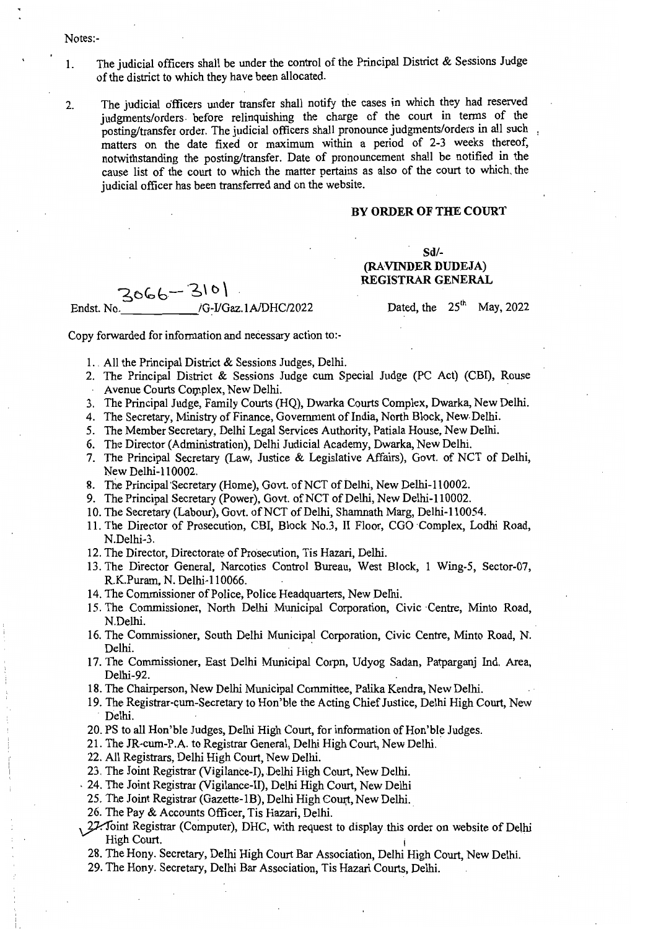- Notes:
- 1. The judicial officers shall be under the control of the Principal District  $\&$  Sessions Judge of the district to which they have been allocated.
- 2. The judicial officers under transfer shall notify the cases in which they had reserved judgments/orders before relinquishing the charge of the court in terms of the posting/transfer order. The judicial officers shall pronounce judgments/orders in all such matters on the date fixed or maximum within a period of 2-3 weeks thereof. notwithstanding the posting/transfer. Date of pronouncement shall be notified in the cause list of the court to which the matter pertains as also of the court to which, the judicial officer has been transferred and on the website.

## BY ORDER OF THE COURT

Sd/ (RAVINDER DUDEJA)

 $3066 - 310$  REGISTRAR GENERAL Endst. No.  $\frac{1}{25}$  /G-I/Gaz.1A/DHC/2022 Dated, the 25<sup>th</sup> May, 2022

Copy forwarded for information and necessary action to:-

- 1. , All the Principal District & Sessions Judges, Delhi.
- 2. The Principal District & Sessions Judge cum Special Judge (PC Act) (CBI), Rouse A venue Courts Complex, New Delhi.
- 3. The Principal Judge, Family Courts (HQ), Dwarka Courts Complex, Dwarka, New Delhi.
- 4. The Secretary, Ministry of Finance, Government of India, North Block, New Delhi.
- 5. The Member Secretary, Delhi Legal Services Authority, Patiala House, New Delhi.
- 6. The Director (Administration), Delhi Judicial Academy, Dwarka, New Delhi.
- 7. The Principal Secretary (Law, Justice & Legislative Affairs), Govt. of NCT of Delhi, New Delhi-110002.
- 8. The Principal Secretary (Home), Govt. of NCT of Delhi, New Delhi-110002.
- 9. The Principal Secretary (Power), Govt. of NCT of Delhi, New Delhi-110002.
- 10. The Secretary (Labour), Govt. of NCT of Delhi, Shamnath Marg, Delhi-110054.
- 11. The Director of Prosecution, CBI, Block No.3, II Floor, CGO Complex, Lodhi Road, N.Delhi-3.
- 12. The Director, Directorate of Prosecution, Tis Hazari, Delhi.
- 13. The Director General, Narcotics Control Bureau, West Block, 1 Wing-5, Sector-07, R.K.Puram, N. Delhi-II 0066.
- 14. The Commissioner of Police, Police Headquarters, New Delhi.
- 15. The Commissioner, North Delhi Municipal Corporation. Civic Centre, Minto Road. N.Delhi.
- 16. The Commissioner, South Delhi Municipal Corporation, Civic Centre, Minto Road, N. Delhi.
- 17. The Commissioner, East Delhi Municipal Corpn, Udyog Sadan, Patparganj Ind. Area, Delhi-92.
- 18. The Chairperson, New Delhi Municipal Committee, Palika Kendra, New Delhi.
- 19. The Registrar-cum-Secretary to Hon'ble the Acting Chief Justice, Delhi High Court, New . Delhi.
- 20. PS to all Hon'ble Judges, Delhi High Court, for information of Hon'ble Judges.
- 21. The JR-cwn-P.A. to Registrar General, Delhi High Court, New Delhi.
- 22. All Registrars, Delhi High Court, New Delhi.
- 23. The Joint Registrar (Vigilance-I), Delhi High Court, New Delhi .
- . 24. The Joint Registrar (Vigilance-II), Delhi High Court, New Delhi
- 25. The Joint Registrar (Gazette-1B), Delhi High Court, New Delhi.
- 26. The Pay & Accounts Officer, Tis Hazari, Delhi.
- $\frac{27}{3}$ oint Registrar (Computer), DHC, with request to display this order on website of Delhi High Court.
- 28. The Hony. Secretary, Delhi High Court Bar Association, Delhi High Court, New Delhi.
- 29. The Hony. Secretary, Delhi Bar Association, Tis Hazari Courts, Delhi.